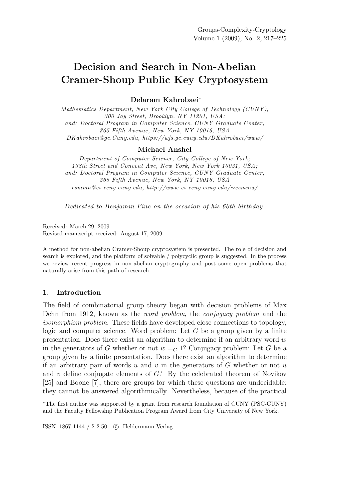# Decision and Search in Non-Abelian Cramer-Shoup Public Key Cryptosystem

# Delaram Kahrobaei<sup>∗</sup>

*Mathematics Department, New York City College of Technology (CUNY), 300 Jay Street, Brooklyn, NY 11201, USA; and: Doctoral Program in Computer Science, CUNY Graduate Center, 365 Fifth Avenue, New York, NY 10016, USA DKahrobaei@gc.Cuny.edu, https://wfs.gc.cuny.edu/DKahrobaei/www/*

#### Michael Anshel

*Department of Computer Science, City College of New York; 138th Street and Convent Ave, New York, New York 10031, USA; and: Doctoral Program in Computer Science, CUNY Graduate Center, 365 Fifth Avenue, New York, NY 10016, USA csmma@cs.ccny.cuny.edu, http://www-cs.ccny.cuny.edu/*∼*csmma/*

*Dedicated to Benjamin Fine on the occasion of his 60th birthday.*

Received: March 29, 2009 Revised manuscript received: August 17, 2009

A method for non-abelian Cramer-Shoup cryptosystem is presented. The role of decision and search is explored, and the platform of solvable / polycyclic group is suggested. In the process we review recent progress in non-abelian cryptography and post some open problems that naturally arise from this path of research.

## 1. Introduction

The field of combinatorial group theory began with decision problems of Max Dehn from 1912, known as the word problem, the conjugacy problem and the isomorphism problem. These fields have developed close connections to topology, logic and computer science. Word problem: Let  $G$  be a group given by a finite presentation. Does there exist an algorithm to determine if an arbitrary word  $w$ in the generators of G whether or not  $w = G$  1? Conjugacy problem: Let G be a group given by a finite presentation. Does there exist an algorithm to determine if an arbitrary pair of words u and v in the generators of  $G$  whether or not u and  $v$  define conjugate elements of  $G$ ? By the celebrated theorem of Novikov [25] and Boone [7], there are groups for which these questions are undecidable: they cannot be answered algorithmically. Nevertheless, because of the practical

<sup>∗</sup>The first author was supported by a grant from research foundation of CUNY (PSC-CUNY) and the Faculty Fellowship Publication Program Award from City University of New York.

ISSN 1867-1144 / \$ 2.50 c Heldermann Verlag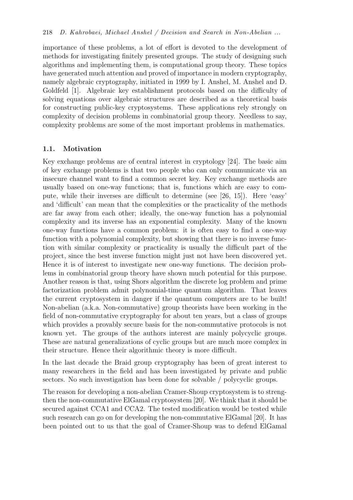importance of these problems, a lot of effort is devoted to the development of methods for investigating finitely presented groups. The study of designing such algorithms and implementing them, is computational group theory. These topics have generated much attention and proved of importance in modern cryptography, namely algebraic cryptography, initiated in 1999 by I. Anshel, M. Anshel and D. Goldfeld [1]. Algebraic key establishment protocols based on the difficulty of solving equations over algebraic structures are described as a theoretical basis for constructing public-key cryptosystems. These applications rely strongly on complexity of decision problems in combinatorial group theory. Needless to say, complexity problems are some of the most important problems in mathematics.

# 1.1. Motivation

Key exchange problems are of central interest in cryptology [24]. The basic aim of key exchange problems is that two people who can only communicate via an insecure channel want to find a common secret key. Key exchange methods are usually based on one-way functions; that is, functions which are easy to compute, while their inverses are difficult to determine (see [26, 15]). Here 'easy' and 'difficult' can mean that the complexities or the practicality of the methods are far away from each other; ideally, the one-way function has a polynomial complexity and its inverse has an exponential complexity. Many of the known one-way functions have a common problem: it is often easy to find a one-way function with a polynomial complexity, but showing that there is no inverse function with similar complexity or practicality is usually the difficult part of the project, since the best inverse function might just not have been discovered yet. Hence it is of interest to investigate new one-way functions. The decision problems in combinatorial group theory have shown much potential for this purpose. Another reason is that, using Shors algorithm the discrete log problem and prime factorization problem admit polynomial-time quantum algorithm. That leaves the current cryptosystem in danger if the quantum computers are to be built! Non-abelian (a.k.a. Non-commutative) group theorists have been working in the field of non-commutative cryptography for about ten years, but a class of groups which provides a provably secure basis for the non-commutative protocols is not known yet. The groups of the authors interest are mainly polycyclic groups. These are natural generalizations of cyclic groups but are much more complex in their structure. Hence their algorithmic theory is more difficult.

In the last decade the Braid group cryptography has been of great interest to many researchers in the field and has been investigated by private and public sectors. No such investigation has been done for solvable / polycyclic groups.

The reason for developing a non-abelian Cramer-Shoup cryptosystem is to strengthen the non-commutative ElGamal cryptosystem [20]. We think that it should be secured against CCA1 and CCA2. The tested modification would be tested while such research can go on for developing the non-commutative ElGamal [20]. It has been pointed out to us that the goal of Cramer-Shoup was to defend ElGamal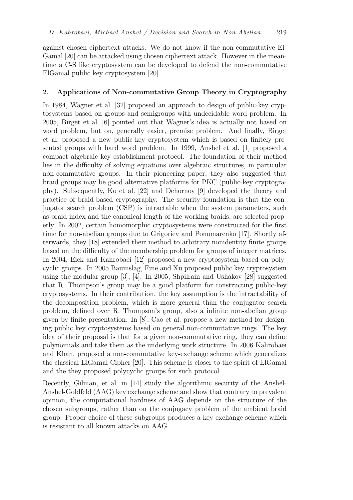against chosen ciphertext attacks. We do not know if the non-commutative El-Gamal [20] can be attacked using chosen ciphertext attack. However in the meantime a C-S like cryptosystem can be developed to defend the non-commutative ElGamal public key cryptosystem [20].

# 2. Applications of Non-commutative Group Theory in Cryptography

In 1984, Wagner et al. [32] proposed an approach to design of public-key cryptosystems based on groups and semigroups with undecidable word problem. In 2005, Birget et al. [6] pointed out that Wagner's idea is actually not based on word problem, but on, generally easier, premise problem. And finally, Birget et al. proposed a new public-key cryptosystem which is based on finitely presented groups with hard word problem. In 1999, Anshel et al. [1] proposed a compact algebraic key establishment protocol. The foundation of their method lies in the difficulty of solving equations over algebraic structures, in particular non-commutative groups. In their pioneering paper, they also suggested that braid groups may be good alternative platforms for PKC (public-key cryptography). Subsequently, Ko et al. [22] and Dehornoy [9] developed the theory and practice of braid-based cryptography. The security foundation is that the conjugator search problem (CSP) is intractable when the system parameters, such as braid index and the canonical length of the working braids, are selected properly. In 2002, certain homomorphic cryptosystems were constructed for the first time for non-abelian groups due to Grigoriev and Ponomarenko [17]. Shortly afterwards, they [18] extended their method to arbitrary nonidentity finite groups based on the difficulty of the membership problem for groups of integer matrices. In 2004, Eick and Kahrobaei [12] proposed a new cryptosystem based on polycyclic groups. In 2005 Baumslag, Fine and Xu proposed public key cryptosystem using the modular group [3], [4]. In 2005, Shpilrain and Ushakov [28] suggested that R. Thompson's group may be a good platform for constructing public-key cryptosystems. In their contribution, the key assumption is the intractability of the decomposition problem, which is more general than the conjugator search problem, defined over R. Thompson's group, also a infinite non-abelian group given by finite presentation. In [8], Cao et al. propose a new method for designing public key cryptosystems based on general non-commutative rings. The key idea of their proposal is that for a given non-commutative ring, they can define polynomials and take them as the underlying work structure. In 2006 Kahrobaei and Khan, proposed a non-commutative key-exchange scheme which generalizes the classical ElGamal Cipher [20]. This scheme is closer to the spirit of ElGamal and the they proposed polycyclic groups for such protocol.

Recently, Gilman, et al. in [14] study the algorithmic security of the Anshel-Anshel-Goldfeld (AAG) key exchange scheme and show that contrary to prevalent opinion, the computational hardness of AAG depends on the structure of the chosen subgroups, rather than on the conjugacy problem of the ambient braid group. Proper choice of these subgroups produces a key exchange scheme which is resistant to all known attacks on AAG.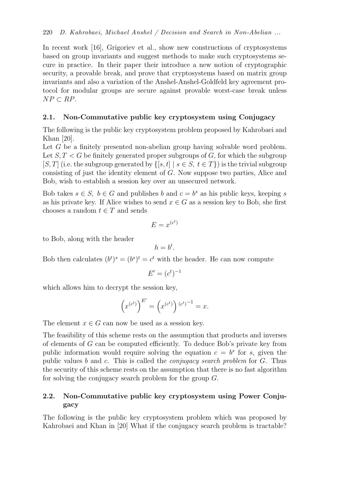In recent work [16], Grigoriev et al., show new constructions of cryptosystems based on group invariants and suggest methods to make such cryptosystems secure in practice. In their paper their introduce a new notion of cryptographic security, a provable break, and prove that cryptosystems based on matrix group invariants and also a variation of the Anshel-Anshel-Goldfeld key agreement protocol for modular groups are secure against provable worst-case break unless  $NP \subset RP$ .

# 2.1. Non-Commutative public key cryptosystem using Conjugacy

The following is the public key cryptosystem problem proposed by Kahrobaei and Khan [20].

Let G be a finitely presented non-abelian group having solvable word problem. Let  $S, T < G$  be finitely generated proper subgroups of G, for which the subgroup [S, T] (i.e. the subgroup generated by  $\{ [s, t] | s \in S, t \in T \}$ ) is the trivial subgroup consisting of just the identity element of G. Now suppose two parties, Alice and Bob, wish to establish a session key over an unsecured network.

Bob takes  $s \in S$ ,  $b \in G$  and publishes b and  $c = b^s$  as his public keys, keeping s as his private key. If Alice wishes to send  $x \in G$  as a session key to Bob, she first chooses a random  $t \in T$  and sends

$$
E = x^{(c^t)}
$$

to Bob, along with the header

$$
h=b^t.
$$

Bob then calculates  $(b^t)^s = (b^s)^t = c^t$  with the header. He can now compute

$$
E' = (c^t)^{-1}
$$

which allows him to decrypt the session key,

$$
\left(x^{(c^t)}\right)^{E'}=\left(x^{(c^t)}\right){}^{(c^t)^{-1}}=x.
$$

The element  $x \in G$  can now be used as a session key.

The feasibility of this scheme rests on the assumption that products and inverses of elements of G can be computed efficiently. To deduce Bob's private key from public information would require solving the equation  $c = b^s$  for s, given the public values b and c. This is called the *conjugacy search problem* for  $G$ . Thus the security of this scheme rests on the assumption that there is no fast algorithm for solving the conjugacy search problem for the group G.

# 2.2. Non-Commutative public key cryptosystem using Power Conjugacy

The following is the public key cryptosystem problem which was proposed by Kahrobaei and Khan in [20] What if the conjugacy search problem is tractable?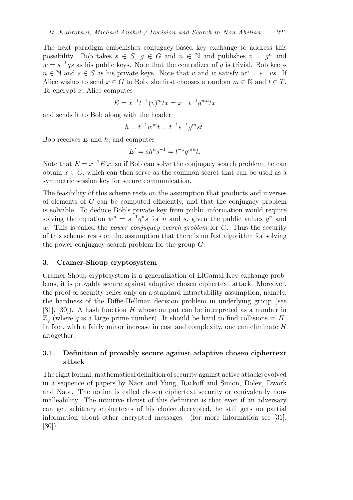The next paradigm embellishes conjugacy-based key exchange to address this possibility. Bob takes  $s \in S$ ,  $g \in G$  and  $n \in \mathbb{N}$  and publishes  $v = g^n$  and  $w = s^{-1}gs$  as his public keys. Note that the centralizer of g is trivial. Bob keeps  $n \in \mathbb{N}$  and  $s \in S$  as his private keys. Note that v and w satisfy  $w^n = s^{-1}vs$ . If Alice wishes to send  $x \in G$  to Bob, she first chooses a random  $m \in \mathbb{N}$  and  $t \in T$ . To encrypt  $x$ , Alice computes

$$
E = x^{-1}t^{-1}(v)^{m}tx = x^{-1}t^{-1}g^{mn}tx
$$

and sends it to Bob along with the header

$$
h = t^{-1}w^m t = t^{-1}s^{-1}g^m st.
$$

Bob receives  $E$  and  $h$ , and computes

$$
E' = shn s-1 = t-1 gmn t.
$$

Note that  $E = x^{-1}E'x$ , so if Bob can solve the conjugacy search problem, he can obtain  $x \in G$ , which can then serve as the common secret that can be used as a symmetric session key for secure communication.

The feasibility of this scheme rests on the assumption that products and inverses of elements of G can be computed efficiently, and that the conjugacy problem is solvable. To deduce Bob's private key from public information would require solving the equation  $w^n = s^{-1}g^ns$  for n and s, given the public values  $g^n$  and w. This is called the *power conjugacy search problem* for  $G$ . Thus the security of this scheme rests on the assumption that there is no fast algorithm for solving the power conjugacy search problem for the group  $G$ .

#### 3. Cramer-Shoup cryptosystem

Cramer-Shoup cryptosystem is a generalization of ElGamal Key exchange problems, it is provably secure against adaptive chosen ciphertext attack. Moreover, the proof of security relies only on a standard intractability assumption, namely, the hardness of the Diffie-Hellman decision problem in underlying group (see [31], [30]). A hash function H whose output can be interpreted as a number in  $\mathbb{Z}_q$  (where q is a large prime number). It should be hard to find collisions in H. In fact, with a fairly minor increase in cost and complexity, one can eliminate  $H$ altogether.

# 3.1. Definition of provably secure against adaptive chosen ciphertext attack

The right formal, mathematical definition of security against active attacks evolved in a sequence of papers by Naor and Yung, Rackoff and Simon, Dolev, Dwork and Naor. The notion is called chosen ciphertext security or equivalently nonmalleability. The intuitive thrust of this definition is that even if an adversary can get arbitrary ciphertexts of his choice decrypted, he still gets no partial information about other encrypted messages. (for more information see [31], [30])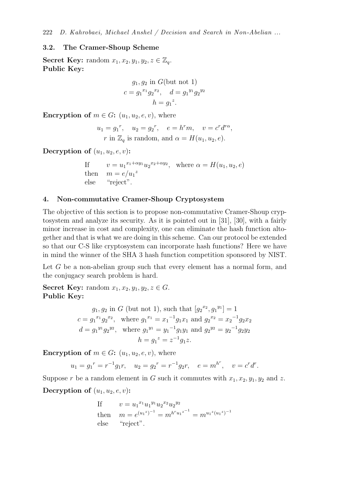#### 3.2. The Cramer-Shoup Scheme

**Secret Key:** random  $x_1, x_2, y_1, y_2, z \in \mathbb{Z}_q$ . Public Key:

$$
g_1, g_2
$$
 in G (but not 1)  
\n $c = g_1^{x_1} g_2^{x_2}, \quad d = g_1^{y_1} g_2^{y_2}$   
\n $h = g_1^{z}$ .

Encryption of  $m \in G: (u_1, u_2, e, v)$ , where

$$
u_1 = g_1^r, \quad u_2 = g_2^r, \quad e = h^r m, \quad v = c^r d^{r\alpha},
$$
  

$$
r \text{ in } \mathbb{Z}_q \text{ is random, and } \alpha = H(u_1, u_2, e).
$$

Decryption of  $(u_1, u_2, e, v)$ :

If  $v = u_1^{x_1 + \alpha y_1} u_2^{x_2 + \alpha y_2}$ , where  $\alpha = H(u_1, u_2, e)$ then  $m = e/u_1^z$ else "reject".

## 4. Non-commutative Cramer-Shoup Cryptosystem

The objective of this section is to propose non-commutative Cramer-Shoup cryptosystem and analyze its security. As it is pointed out in [31], [30], with a fairly minor increase in cost and complexity, one can eliminate the hash function altogether and that is what we are doing in this scheme. Can our protocol be extended so that our C-S like cryptosystem can incorporate hash functions? Here we have in mind the winner of the SHA 3 hash function competition sponsored by NIST.

Let G be a non-abelian group such that every element has a normal form, and the conjugacy search problem is hard.

Secret Key: random  $x_1, x_2, y_1, y_2, z \in G$ . Public Key:

$$
g_1, g_2
$$
 in  $G$  (but not 1), such that  $[g_2^{x_2}, g_1^{y_1}] = 1$   
\n $c = g_1^{x_1} g_2^{x_2}$ , where  $g_1^{x_1} = x_1^{-1} g_1 x_1$  and  $g_2^{x_2} = x_2^{-1} g_2 x_2$   
\n $d = g_1^{y_1} g_2^{y_2}$ , where  $g_1^{y_1} = y_1^{-1} g_1 y_1$  and  $g_2^{y_2} = y_2^{-1} g_2 y_2$   
\n $h = g_1^z = z^{-1} g_1 z$ .

**Encryption of**  $m \in G$ :  $(u_1, u_2, e, v)$ , where

$$
u_1 = g_1^r = r^{-1}g_1r
$$
,  $u_2 = g_2^r = r^{-1}g_2r$ ,  $e = m^{hr}$ ,  $v = c^r d^r$ .

Suppose r be a random element in G such it commutes with  $x_1, x_2, y_1, y_2$  and z. Decryption of  $(u_1, u_2, e, v)$ :

If 
$$
v = u_1^{x_1} u_1^{y_1} u_2^{x_2} u_2^{y_2}
$$
  
then  $m = e^{(u_1^z)^{-1}} = m^{h^r u_1^{z^{-1}}} = m^{u_1^z (u_1^z)^{-1}}$   
else "reject".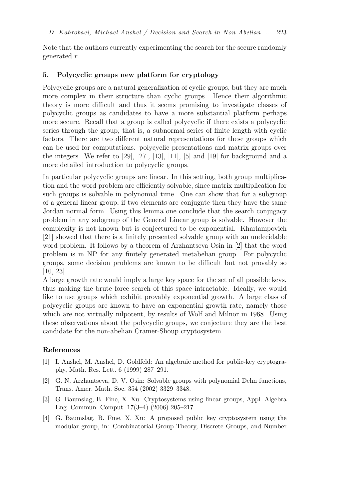Note that the authors currently experimenting the search for the secure randomly generated r.

### 5. Polycyclic groups new platform for cryptology

Polycyclic groups are a natural generalization of cyclic groups, but they are much more complex in their structure than cyclic groups. Hence their algorithmic theory is more difficult and thus it seems promising to investigate classes of polycyclic groups as candidates to have a more substantial platform perhaps more secure. Recall that a group is called polycyclic if there exists a polycyclic series through the group; that is, a subnormal series of finite length with cyclic factors. There are two different natural representations for these groups which can be used for computations: polycyclic presentations and matrix groups over the integers. We refer to [29], [27], [13], [11], [5] and [19] for background and a more detailed introduction to polycyclic groups.

In particular polycyclic groups are linear. In this setting, both group multiplication and the word problem are efficiently solvable, since matrix multiplication for such groups is solvable in polynomial time. One can show that for a subgroup of a general linear group, if two elements are conjugate then they have the same Jordan normal form. Using this lemma one conclude that the search conjugacy problem in any subgroup of the General Linear group is solvable. However the complexity is not known but is conjectured to be exponential. Kharlampovich [21] showed that there is a finitely presented solvable group with an undecidable word problem. It follows by a theorem of Arzhantseva-Osin in [2] that the word problem is in NP for any finitely generated metabelian group. For polycyclic groups, some decision problems are known to be difficult but not provably so [10, 23].

A large growth rate would imply a large key space for the set of all possible keys, thus making the brute force search of this space intractable. Ideally, we would like to use groups which exhibit provably exponential growth. A large class of polycyclic groups are known to have an exponential growth rate, namely those which are not virtually nilpotent, by results of Wolf and Milnor in 1968. Using these observations about the polycyclic groups, we conjecture they are the best candidate for the non-abelian Cramer-Shoup cryptosystem.

## References

- [1] I. Anshel, M. Anshel, D. Goldfeld: An algebraic method for public-key cryptography, Math. Res. Lett. 6 (1999) 287–291.
- [2] G. N. Arzhantseva, D. V. Osin: Solvable groups with polynomial Dehn functions, Trans. Amer. Math. Soc. 354 (2002) 3329–3348.
- [3] G. Baumslag, B. Fine, X. Xu: Cryptosystems using linear groups, Appl. Algebra Eng. Commun. Comput. 17(3–4) (2006) 205–217.
- [4] G. Baumslag, B. Fine, X. Xu: A proposed public key cryptosystem using the modular group, in: Combinatorial Group Theory, Discrete Groups, and Number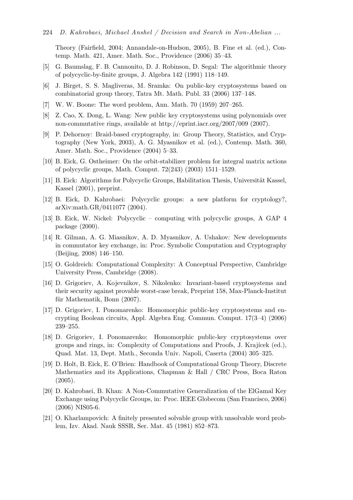Theory (Fairfield, 2004; Annandale-on-Hudson, 2005), B. Fine et al. (ed.), Contemp. Math. 421, Amer. Math. Soc., Providence (2006) 35–43.

- [5] G. Baumslag, F. B. Cannonito, D. J. Robinson, D. Segal: The algorithmic theory of polycyclic-by-finite groups, J. Algebra 142 (1991) 118–149.
- [6] J. Birget, S. S. Magliveras, M. Sramka: On public-key cryptosystems based on combinatorial group theory, Tatra Mt. Math. Publ. 33 (2006) 137–148.
- [7] W. W. Boone: The word problem, Ann. Math. 70 (1959) 207–265.
- [8] Z. Cao, X. Dong, L. Wang: New public key cryptosystems using polynomials over non-commutative rings, available at http://eprint.iacr.org/2007/009 (2007).
- [9] P. Dehornoy: Braid-based cryptography, in: Group Theory, Statistics, and Cryptography (New York, 2003), A. G. Myasnikov et al. (ed.), Contemp. Math. 360, Amer. Math. Soc., Providence (2004) 5–33.
- [10] B. Eick, G. Ostheimer: On the orbit-stabilizer problem for integral matrix actions of polycyclic groups, Math. Comput. 72(243) (2003) 1511–1529.
- [11] B. Eick: Algorithms for Polycyclic Groups, Habilitation Thesis, Universität Kassel, Kassel (2001), preprint.
- [12] B. Eick, D. Kahrobaei: Polycyclic groups: a new platform for cryptology?, arXiv:math.GR/0411077 (2004).
- [13] B. Eick, W. Nickel: Polycyclic computing with polycyclic groups, A GAP 4 package (2000).
- [14] R. Gilman, A. G. Miasnikov, A. D. Myasnikov, A. Ushakov: New developments in commutator key exchange, in: Proc. Symbolic Computation and Cryptography (Beijing, 2008) 146–150.
- [15] O. Goldreich: Computational Complexity: A Conceptual Perspective, Cambridge University Press, Cambridge (2008).
- [16] D. Grigoriev, A. Kojevnikov, S. Nikolenko: Invariant-based cryptosystems and their security against provable worst-case break, Preprint 158, Max-Planck-Institut für Mathematik, Bonn  $(2007)$ .
- [17] D. Grigoriev, I. Ponomarenko: Homomorphic public-key cryptosystems and encrypting Boolean circuits, Appl. Algebra Eng. Commun. Comput. 17(3–4) (2006) 239–255.
- [18] D. Grigoriev, I. Ponomarenko: Homomorphic public-key cryptosystems over groups and rings, in: Complexity of Computations and Proofs, J. Krajícek (ed.), Quad. Mat. 13, Dept. Math., Seconda Univ. Napoli, Caserta (2004) 305–325.
- [19] D. Holt, B. Eick, E. O'Brien: Handbook of Computational Group Theory, Discrete Mathematics and its Applications, Chapman & Hall / CRC Press, Boca Raton  $(2005).$
- [20] D. Kahrobaei, B. Khan: A Non-Commutative Generalization of the ElGamal Key Exchange using Polycyclic Groups, in: Proc. IEEE Globecom (San Francisco, 2006) (2006) NIS05-6.
- [21] O. Kharlampovich: A finitely presented solvable group with unsolvable word problem, Izv. Akad. Nauk SSSR, Ser. Mat. 45 (1981) 852–873.